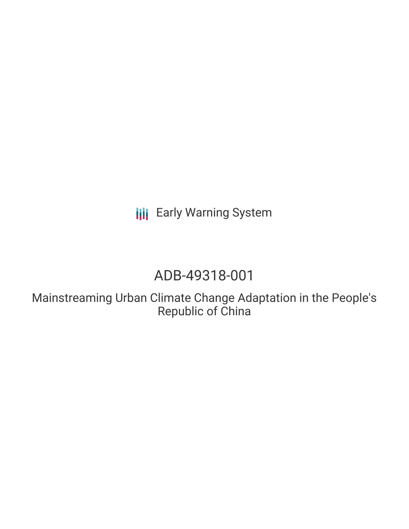**III** Early Warning System

# ADB-49318-001

Mainstreaming Urban Climate Change Adaptation in the People's Republic of China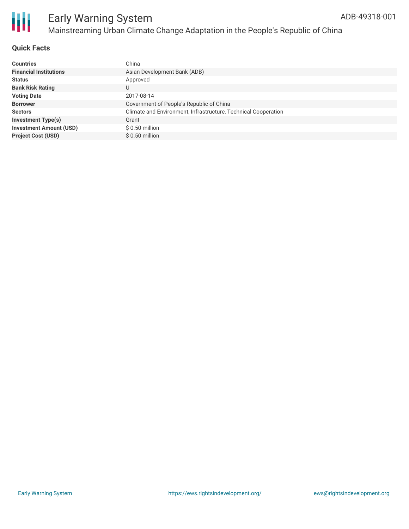

#### **Quick Facts**

| <b>Countries</b>               | China                                                          |
|--------------------------------|----------------------------------------------------------------|
| <b>Financial Institutions</b>  | Asian Development Bank (ADB)                                   |
| <b>Status</b>                  | Approved                                                       |
| <b>Bank Risk Rating</b>        | U                                                              |
| <b>Voting Date</b>             | 2017-08-14                                                     |
| <b>Borrower</b>                | Government of People's Republic of China                       |
| <b>Sectors</b>                 | Climate and Environment, Infrastructure, Technical Cooperation |
| <b>Investment Type(s)</b>      | Grant                                                          |
| <b>Investment Amount (USD)</b> | $$0.50$ million                                                |
| <b>Project Cost (USD)</b>      | $$0.50$ million                                                |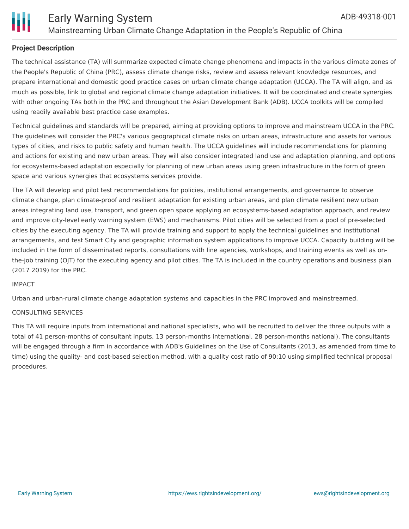

#### **Project Description**

The technical assistance (TA) will summarize expected climate change phenomena and impacts in the various climate zones of the People's Republic of China (PRC), assess climate change risks, review and assess relevant knowledge resources, and prepare international and domestic good practice cases on urban climate change adaptation (UCCA). The TA will align, and as much as possible, link to global and regional climate change adaptation initiatives. It will be coordinated and create synergies with other ongoing TAs both in the PRC and throughout the Asian Development Bank (ADB). UCCA toolkits will be compiled using readily available best practice case examples.

Technical guidelines and standards will be prepared, aiming at providing options to improve and mainstream UCCA in the PRC. The guidelines will consider the PRC's various geographical climate risks on urban areas, infrastructure and assets for various types of cities, and risks to public safety and human health. The UCCA guidelines will include recommendations for planning and actions for existing and new urban areas. They will also consider integrated land use and adaptation planning, and options for ecosystems-based adaptation especially for planning of new urban areas using green infrastructure in the form of green space and various synergies that ecosystems services provide.

The TA will develop and pilot test recommendations for policies, institutional arrangements, and governance to observe climate change, plan climate-proof and resilient adaptation for existing urban areas, and plan climate resilient new urban areas integrating land use, transport, and green open space applying an ecosystems-based adaptation approach, and review and improve city-level early warning system (EWS) and mechanisms. Pilot cities will be selected from a pool of pre-selected cities by the executing agency. The TA will provide training and support to apply the technical guidelines and institutional arrangements, and test Smart City and geographic information system applications to improve UCCA. Capacity building will be included in the form of disseminated reports, consultations with line agencies, workshops, and training events as well as onthe-job training (OJT) for the executing agency and pilot cities. The TA is included in the country operations and business plan (2017 2019) for the PRC.

#### IMPACT

Urban and urban-rural climate change adaptation systems and capacities in the PRC improved and mainstreamed.

#### CONSULTING SERVICES

This TA will require inputs from international and national specialists, who will be recruited to deliver the three outputs with a total of 41 person-months of consultant inputs, 13 person-months international, 28 person-months national). The consultants will be engaged through a firm in accordance with ADB's Guidelines on the Use of Consultants (2013, as amended from time to time) using the quality- and cost-based selection method, with a quality cost ratio of 90:10 using simplified technical proposal procedures.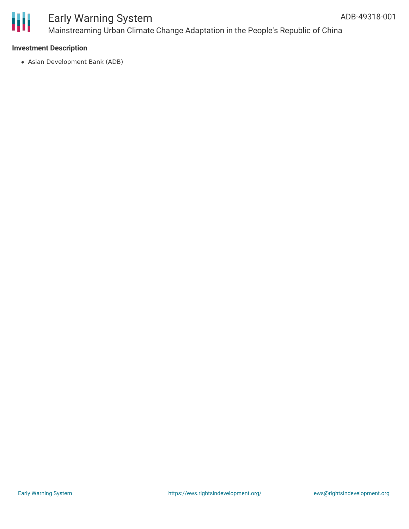

## Early Warning System Mainstreaming Urban Climate Change Adaptation in the People's Republic of China

#### **Investment Description**

Asian Development Bank (ADB)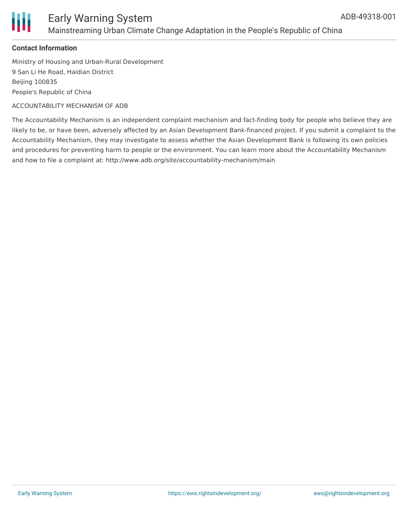

### Early Warning System Mainstreaming Urban Climate Change Adaptation in the People's Republic of China

#### **Contact Information**

Ministry of Housing and Urban-Rural Development 9 San Li He Road, Haidian District Beijing 100835 People's Republic of China

ACCOUNTABILITY MECHANISM OF ADB

The Accountability Mechanism is an independent complaint mechanism and fact-finding body for people who believe they are likely to be, or have been, adversely affected by an Asian Development Bank-financed project. If you submit a complaint to the Accountability Mechanism, they may investigate to assess whether the Asian Development Bank is following its own policies and procedures for preventing harm to people or the environment. You can learn more about the Accountability Mechanism and how to file a complaint at: http://www.adb.org/site/accountability-mechanism/main